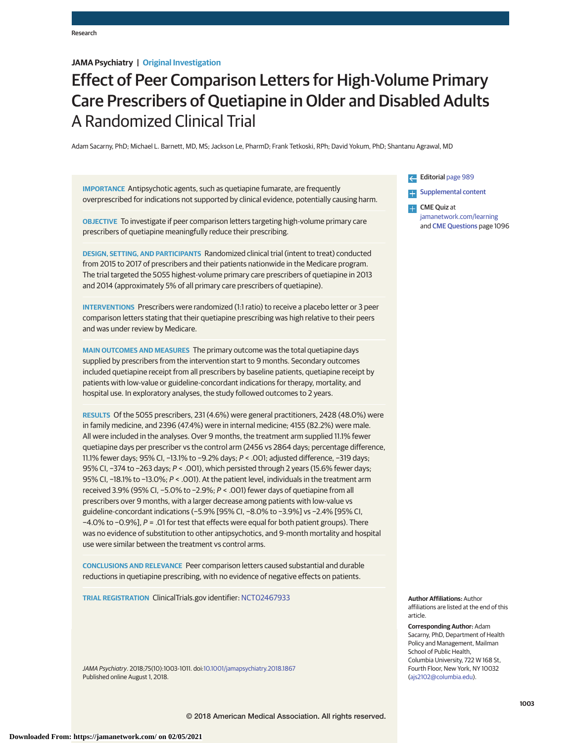# **JAMA Psychiatry | Original Investigation**

# Effect of Peer Comparison Letters for High-Volume Primary Care Prescribers of Quetiapine in Older and Disabled Adults A Randomized Clinical Trial

Adam Sacarny, PhD; Michael L. Barnett, MD, MS; Jackson Le, PharmD; Frank Tetkoski, RPh; David Yokum, PhD; Shantanu Agrawal, MD

**IMPORTANCE** Antipsychotic agents, such as quetiapine fumarate, are frequently overprescribed for indications not supported by clinical evidence, potentially causing harm.

**OBJECTIVE** To investigate if peer comparison letters targeting high-volume primary care prescribers of quetiapine meaningfully reduce their prescribing.

**DESIGN, SETTING, AND PARTICIPANTS** Randomized clinical trial (intent to treat) conducted from 2015 to 2017 of prescribers and their patients nationwide in the Medicare program. The trial targeted the 5055 highest-volume primary care prescribers of quetiapine in 2013 and 2014 (approximately 5% of all primary care prescribers of quetiapine).

**INTERVENTIONS** Prescribers were randomized (1:1 ratio) to receive a placebo letter or 3 peer comparison letters stating that their quetiapine prescribing was high relative to their peers and was under review by Medicare.

**MAIN OUTCOMES AND MEASURES** The primary outcome was the total quetiapine days supplied by prescribers from the intervention start to 9 months. Secondary outcomes included quetiapine receipt from all prescribers by baseline patients, quetiapine receipt by patients with low-value or guideline-concordant indications for therapy, mortality, and hospital use. In exploratory analyses, the study followed outcomes to 2 years.

**RESULTS** Of the 5055 prescribers, 231 (4.6%) were general practitioners, 2428 (48.0%) were in family medicine, and 2396 (47.4%) were in internal medicine; 4155 (82.2%) were male. All were included in the analyses. Over 9 months, the treatment arm supplied 11.1% fewer quetiapine days per prescriber vs the control arm (2456 vs 2864 days; percentage difference, 11.1% fewer days; 95% CI, −13.1% to −9.2% days; P < .001; adjusted difference, −319 days; 95% CI, −374 to −263 days; P < .001), which persisted through 2 years (15.6% fewer days; 95% CI, -18.1% to -13.0%; P < .001). At the patient level, individuals in the treatment arm received 3.9% (95% CI, −5.0% to −2.9%; P < .001) fewer days of quetiapine from all prescribers over 9 months, with a larger decrease among patients with low-value vs guideline-concordant indications (−5.9% [95% CI, −8.0% to −3.9%] vs −2.4% [95% CI, −4.0% to −0.9%], P = .01 for test that effects were equal for both patient groups). There was no evidence of substitution to other antipsychotics, and 9-month mortality and hospital use were similar between the treatment vs control arms.

**CONCLUSIONS AND RELEVANCE** Peer comparison letters caused substantial and durable reductions in quetiapine prescribing, with no evidence of negative effects on patients.

**TRIAL REGISTRATION** ClinicalTrials.gov identifier: [NCT02467933](https://clinicaltrials.gov/ct2/show/NCT02467933)

JAMA Psychiatry. 2018;75(10):1003-1011. doi[:10.1001/jamapsychiatry.2018.1867](https://jama.jamanetwork.com/article.aspx?doi=10.1001/jamapsychiatry.2018.1867&utm_campaign=articlePDF%26utm_medium=articlePDFlink%26utm_source=articlePDF%26utm_content=jamapsychiatry.2018.1867) Published online August 1, 2018.

Editorial [page 989](https://jama.jamanetwork.com/article.aspx?doi=10.1001/jamapsychiatry.2018.1843&utm_campaign=articlePDF%26utm_medium=articlePDFlink%26utm_source=articlePDF%26utm_content=jamapsychiatry.2018.1867)

**Examplemental content** 

**F** CME Quiz at [jamanetwork.com/learning](https://jama.jamanetwork.com/learning/article-quiz/10.1001/jamapsychiatry.2018.1867/?utm_campaign=articlePDF%26utm_medium=articlePDFlink%26utm_source=articlePDF%26utm_content=jamapsychiatry.2018.1867) and [CME Questions](https://jama.jamanetwork.com/learning/article-quiz/10.1001/jamapsychiatry.2018.1867/?utm_campaign=articlePDF%26utm_medium=articlePDFlink%26utm_source=articlePDF%26utm_content=jamapsychiatry.2018.1867) page 1096

**Author Affiliations:** Author affiliations are listed at the end of this article.

**Corresponding Author:** Adam Sacarny, PhD, Department of Health Policy and Management, Mailman School of Public Health, Columbia University, 722 W 168 St, Fourth Floor, New York, NY 10032 [\(ajs2102@columbia.edu\)](mailto:ajs2102@columbia.edu).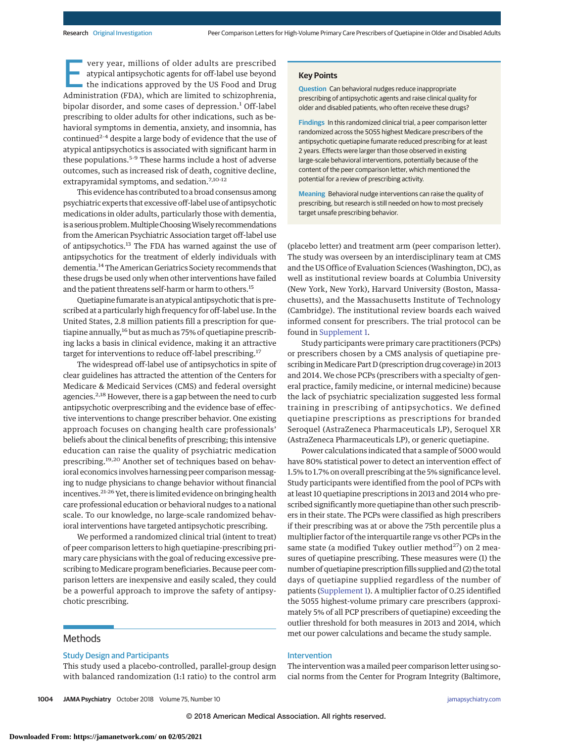very year, millions of older adults are prescribed<br>atypical antipsychotic agents for off-label use beyond<br>the indications approved by the US Food and Drug<br>Administration (EDA), which are limited to schizophronia atypical antipsychotic agents for off-label use beyond Administration (FDA), which are limited to schizophrenia, bipolar disorder, and some cases of depression.<sup>1</sup> Off-label prescribing to older adults for other indications, such as behavioral symptoms in dementia, anxiety, and insomnia, has continued<sup>2-4</sup> despite a large body of evidence that the use of atypical antipsychotics is associated with significant harm in these populations.<sup>5-9</sup> These harms include a host of adverse outcomes, such as increased risk of death, cognitive decline, extrapyramidal symptoms, and sedation.<sup>7,10-12</sup>

This evidence has contributed to a broad consensus among psychiatric experts that excessive off-label use of antipsychotic medications in older adults, particularly those with dementia, is a serious problem. Multiple Choosing Wisely recommendations from the American Psychiatric Association target off-label use of antipsychotics.<sup>13</sup> The FDA has warned against the use of antipsychotics for the treatment of elderly individuals with dementia.<sup>14</sup> The American Geriatrics Society recommends that these drugs be used only when other interventions have failed and the patient threatens self-harm or harm to others.<sup>15</sup>

Quetiapine fumarate is an atypical antipsychotic that is prescribed at a particularly high frequency for off-label use. In the United States, 2.8 million patients fill a prescription for quetiapine annually,<sup>16</sup> but as much as 75% of quetiapine prescribing lacks a basis in clinical evidence, making it an attractive target for interventions to reduce off-label prescribing.<sup>17</sup>

The widespread off-label use of antipsychotics in spite of clear guidelines has attracted the attention of the Centers for Medicare & Medicaid Services (CMS) and federal oversight agencies.<sup>2,18</sup> However, there is a gap between the need to curb antipsychotic overprescribing and the evidence base of effective interventions to change prescriber behavior. One existing approach focuses on changing health care professionals' beliefs about the clinical benefits of prescribing; this intensive education can raise the quality of psychiatric medication prescribing.<sup>19,20</sup> Another set of techniques based on behavioral economics involves harnessing peer comparison messaging to nudge physicians to change behavior without financial incentives.<sup>21-26</sup> Yet, there is limited evidence on bringing health care professional education or behavioral nudges to a national scale. To our knowledge, no large-scale randomized behavioral interventions have targeted antipsychotic prescribing.

We performed a randomized clinical trial (intent to treat) of peer comparison letters to high quetiapine-prescribing primary care physicians with the goal of reducing excessive prescribing to Medicare program beneficiaries. Because peer comparison letters are inexpensive and easily scaled, they could be a powerful approach to improve the safety of antipsychotic prescribing.

# **Methods**

## Study Design and Participants

This study used a placebo-controlled, parallel-group design with balanced randomization (1:1 ratio) to the control arm **Key Points**

**Question** Can behavioral nudges reduce inappropriate prescribing of antipsychotic agents and raise clinical quality for older and disabled patients, who often receive these drugs?

**Findings** In this randomized clinical trial, a peer comparison letter randomized across the 5055 highest Medicare prescribers of the antipsychotic quetiapine fumarate reduced prescribing for at least 2 years. Effects were larger than those observed in existing large-scale behavioral interventions, potentially because of the content of the peer comparison letter, which mentioned the potential for a review of prescribing activity.

**Meaning** Behavioral nudge interventions can raise the quality of prescribing, but research is still needed on how to most precisely target unsafe prescribing behavior.

(placebo letter) and treatment arm (peer comparison letter). The study was overseen by an interdisciplinary team at CMS and the US Office of Evaluation Sciences (Washington, DC), as well as institutional review boards at Columbia University (New York, New York), Harvard University (Boston, Massachusetts), and the Massachusetts Institute of Technology (Cambridge). The institutional review boards each waived informed consent for prescribers. The trial protocol can be found in [Supplement 1.](https://jama.jamanetwork.com/article.aspx?doi=10.1001/jamapsychiatry.2018.1867&utm_campaign=articlePDF%26utm_medium=articlePDFlink%26utm_source=articlePDF%26utm_content=jamapsychiatry.2018.1867)

Study participants were primary care practitioners (PCPs) or prescribers chosen by a CMS analysis of quetiapine prescribing in Medicare Part D (prescription drug coverage) in 2013 and 2014. We chose PCPs (prescribers with a specialty of general practice, family medicine, or internal medicine) because the lack of psychiatric specialization suggested less formal training in prescribing of antipsychotics. We defined quetiapine prescriptions as prescriptions for branded Seroquel (AstraZeneca Pharmaceuticals LP), Seroquel XR (AstraZeneca Pharmaceuticals LP), or generic quetiapine.

Power calculations indicated that a sample of 5000 would have 80% statistical power to detect an intervention effect of 1.5% to 1.7% on overall prescribing at the 5% significance level. Study participants were identified from the pool of PCPs with at least 10 quetiapine prescriptions in 2013 and 2014 who prescribed significantly more quetiapine than other such prescribers in their state. The PCPs were classified as high prescribers if their prescribing was at or above the 75th percentile plus a multiplier factor of the interquartile range vs other PCPs in the same state (a modified Tukey outlier method<sup>27</sup>) on 2 measures of quetiapine prescribing. These measures were (1) the number of quetiapine prescription fills supplied and (2) the total days of quetiapine supplied regardless of the number of patients [\(Supplement 1\)](https://jama.jamanetwork.com/article.aspx?doi=10.1001/jamapsychiatry.2018.1867&utm_campaign=articlePDF%26utm_medium=articlePDFlink%26utm_source=articlePDF%26utm_content=jamapsychiatry.2018.1867). A multiplier factor of 0.25 identified the 5055 highest-volume primary care prescribers (approximately 5% of all PCP prescribers of quetiapine) exceeding the outlier threshold for both measures in 2013 and 2014, which met our power calculations and became the study sample.

## Intervention

The intervention was amailed peer comparison letter using social norms from the Center for Program Integrity (Baltimore,

**1004 JAMA Psychiatry** October 2018 Volume 75, Number 10 **(Reprinted)** [jamapsychiatry.com](http://www.jamapsychiatry.com/?utm_campaign=articlePDF%26utm_medium=articlePDFlink%26utm_source=articlePDF%26utm_content=jamapsychiatry.2018.1867)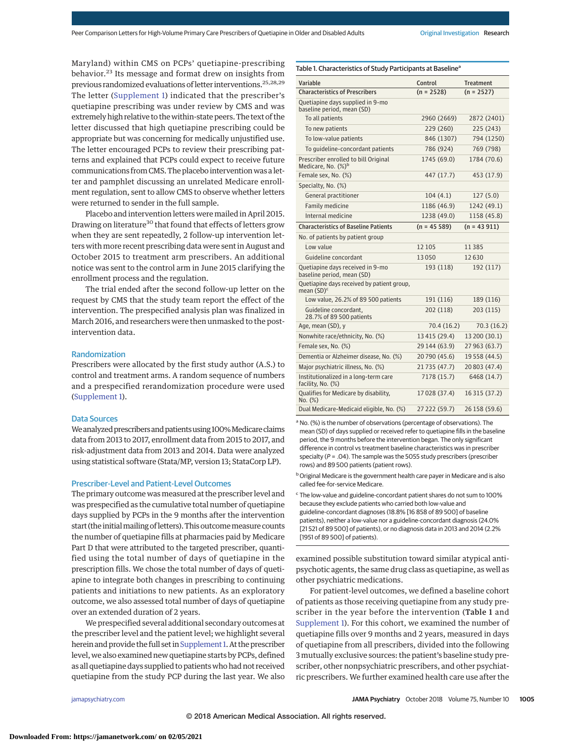Maryland) within CMS on PCPs' quetiapine-prescribing behavior.<sup>23</sup> Its message and format drew on insights from previous randomized evaluations of letter interventions.25,28,29 The letter [\(Supplement 1\)](https://jama.jamanetwork.com/article.aspx?doi=10.1001/jamapsychiatry.2018.1867&utm_campaign=articlePDF%26utm_medium=articlePDFlink%26utm_source=articlePDF%26utm_content=jamapsychiatry.2018.1867) indicated that the prescriber's quetiapine prescribing was under review by CMS and was extremely high relative to the within-state peers. The text of the letter discussed that high quetiapine prescribing could be appropriate but was concerning for medically unjustified use. The letter encouraged PCPs to review their prescribing patterns and explained that PCPs could expect to receive future communications from CMS. The placebo intervention was a letter and pamphlet discussing an unrelated Medicare enrollment regulation, sent to allow CMS to observe whether letters were returned to sender in the full sample.

Placebo and intervention letters weremailed in April 2015. Drawing on literature<sup>30</sup> that found that effects of letters grow when they are sent repeatedly, 2 follow-up intervention letters with more recent prescribing data were sent in August and October 2015 to treatment arm prescribers. An additional notice was sent to the control arm in June 2015 clarifying the enrollment process and the regulation.

The trial ended after the second follow-up letter on the request by CMS that the study team report the effect of the intervention. The prespecified analysis plan was finalized in March 2016, and researchers were then unmasked to the postintervention data.

## Randomization

Prescribers were allocated by the first study author (A.S.) to control and treatment arms. A random sequence of numbers and a prespecified rerandomization procedure were used [\(Supplement 1\)](https://jama.jamanetwork.com/article.aspx?doi=10.1001/jamapsychiatry.2018.1867&utm_campaign=articlePDF%26utm_medium=articlePDFlink%26utm_source=articlePDF%26utm_content=jamapsychiatry.2018.1867).

### Data Sources

We analyzed prescribers and patients using 100% Medicare claims data from 2013 to 2017, enrollment data from 2015 to 2017, and risk-adjustment data from 2013 and 2014. Data were analyzed using statistical software (Stata/MP, version 13; StataCorp LP).

## Prescriber-Level and Patient-Level Outcomes

The primary outcome was measured at the prescriber level and was prespecified as the cumulative total number of quetiapine days supplied by PCPs in the 9 months after the intervention start (the initial mailing of letters). This outcome measure counts the number of quetiapine fills at pharmacies paid by Medicare Part D that were attributed to the targeted prescriber, quantified using the total number of days of quetiapine in the prescription fills. We chose the total number of days of quetiapine to integrate both changes in prescribing to continuing patients and initiations to new patients. As an exploratory outcome, we also assessed total number of days of quetiapine over an extended duration of 2 years.

We prespecified several additional secondary outcomes at the prescriber level and the patient level; we highlight several herein and provide the full set in Supplement 1. At the prescriber level, we also examined new quetiapine starts by PCPs, defined as all quetiapine days supplied to patientswho had not received quetiapine from the study PCP during the last year. We also

| Table 1. Characteristics of Study Participants at Baseline <sup>a</sup> |  |
|-------------------------------------------------------------------------|--|
|-------------------------------------------------------------------------|--|

| Variable                                                               | Control       | <b>Treatment</b> |
|------------------------------------------------------------------------|---------------|------------------|
| <b>Characteristics of Prescribers</b>                                  | $(n = 2528)$  | $(n = 2527)$     |
| Quetiapine days supplied in 9-mo<br>baseline period, mean (SD)         |               |                  |
| To all patients                                                        | 2960 (2669)   | 2872 (2401)      |
| To new patients                                                        | 229 (260)     | 225 (243)        |
| To low-value patients                                                  | 846 (1307)    | 794 (1250)       |
| To quideline-concordant patients                                       | 786 (924)     | 769 (798)        |
| Prescriber enrolled to bill Original<br>Medicare, No. (%) <sup>b</sup> | 1745 (69.0)   | 1784 (70.6)      |
| Female sex, No. (%)                                                    | 447 (17.7)    | 453 (17.9)       |
| Specialty, No. (%)                                                     |               |                  |
| <b>General practitioner</b>                                            | 104(4.1)      | 127(5.0)         |
| <b>Family medicine</b>                                                 | 1186 (46.9)   | 1242 (49.1)      |
| Internal medicine                                                      | 1238 (49.0)   | 1158 (45.8)      |
| <b>Characteristics of Baseline Patients</b>                            | $(n = 45589)$ | $(n = 43911)$    |
| No. of patients by patient group                                       |               |                  |
| Low value                                                              | 12 105        | 11385            |
| Guideline concordant                                                   | 13050         | 12630            |
| Quetiapine days received in 9-mo<br>baseline period, mean (SD)         | 193 (118)     | 192 (117)        |
| Quetiapine days received by patient group,<br>mean $(SD)^c$            |               |                  |
| Low value, 26.2% of 89 500 patients                                    | 191 (116)     | 189 (116)        |
| Guideline concordant.<br>28.7% of 89 500 patients                      | 202 (118)     | 203(115)         |
| Age, mean (SD), y                                                      | 70.4 (16.2)   | 70.3 (16.2)      |
| Nonwhite race/ethnicity, No. (%)                                       | 13415 (29.4)  | 13 200 (30.1)    |
| Female sex, No. (%)                                                    | 29 144 (63.9) | 27 963 (63.7)    |
| Dementia or Alzheimer disease, No. (%)                                 | 20790 (45.6)  | 19 558 (44.5)    |
| Major psychiatric illness, No. (%)                                     | 21735 (47.7)  | 20 803 (47.4)    |
| Institutionalized in a long-term care<br>facility, No. (%)             | 7178 (15.7)   | 6468 (14.7)      |
| Qualifies for Medicare by disability,<br>No. (%)                       | 17028 (37.4)  | 16 315 (37.2)    |
| Dual Medicare-Medicaid eligible, No. (%)                               | 27 222 (59.7) | 26 158 (59.6)    |

<sup>a</sup> No. (%) is the number of observations (percentage of observations). The mean (SD) of days supplied or received refer to quetiapine fills in the baseline period, the 9 months before the intervention began. The only significant difference in control vs treatment baseline characteristics was in prescriber specialty ( $P = .04$ ). The sample was the 5055 study prescribers (prescriber rows) and 89 500 patients (patient rows).

b Original Medicare is the government health care payer in Medicare and is also called fee-for-service Medicare.

<sup>c</sup> The low-value and guideline-concordant patient shares do not sum to 100% because they exclude patients who carried both low-value and guideline-concordant diagnoses (18.8% [16 858 of 89 500] of baseline patients), neither a low-value nor a guideline-concordant diagnosis (24.0% [21 521 of 89 500] of patients), or no diagnosis data in 2013 and 2014 (2.2% [1951 of 89 500] of patients).

examined possible substitution toward similar atypical antipsychotic agents, the same drug class as quetiapine, as well as other psychiatric medications.

For patient-level outcomes, we defined a baseline cohort of patients as those receiving quetiapine from any study prescriber in the year before the intervention (Table 1 and [Supplement 1\)](https://jama.jamanetwork.com/article.aspx?doi=10.1001/jamapsychiatry.2018.1867&utm_campaign=articlePDF%26utm_medium=articlePDFlink%26utm_source=articlePDF%26utm_content=jamapsychiatry.2018.1867). For this cohort, we examined the number of quetiapine fills over 9 months and 2 years, measured in days of quetiapine from all prescribers, divided into the following 3 mutually exclusive sources: the patient's baseline study prescriber, other nonpsychiatric prescribers, and other psychiatric prescribers. We further examined health care use after the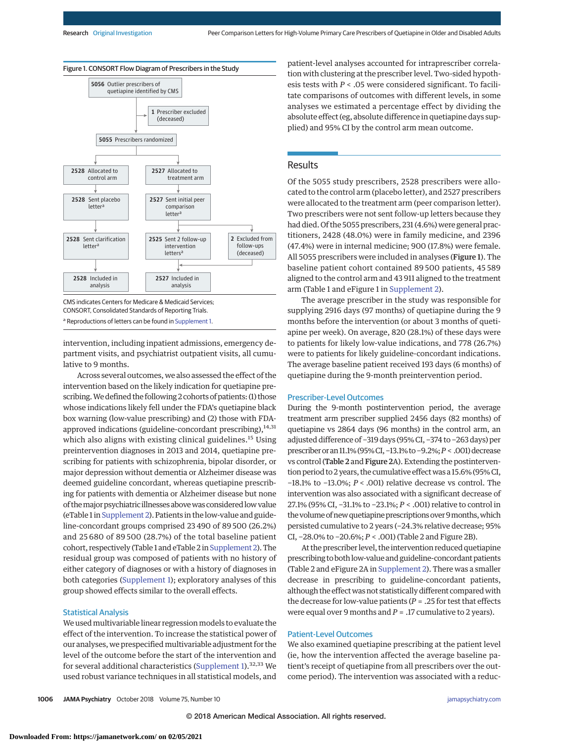

CMS indicates Centers for Medicare & Medicaid Services; CONSORT, Consolidated Standards of Reporting Trials. <sup>a</sup> Reproductions of letters can be found in [Supplement 1.](https://jama.jamanetwork.com/article.aspx?doi=10.1001/jamapsychiatry.2018.1867&utm_campaign=articlePDF%26utm_medium=articlePDFlink%26utm_source=articlePDF%26utm_content=jamapsychiatry.2018.1867)

intervention, including inpatient admissions, emergency department visits, and psychiatrist outpatient visits, all cumulative to 9 months.

Across several outcomes, we also assessed the effect of the intervention based on the likely indication for quetiapine prescribing. We defined the following 2 cohorts of patients: (1) those whose indications likely fell under the FDA's quetiapine black box warning (low-value prescribing) and (2) those with FDAapproved indications (guideline-concordant prescribing),<sup>14,31</sup> which also aligns with existing clinical guidelines.<sup>15</sup> Using preintervention diagnoses in 2013 and 2014, quetiapine prescribing for patients with schizophrenia, bipolar disorder, or major depression without dementia or Alzheimer disease was deemed guideline concordant, whereas quetiapine prescribing for patients with dementia or Alzheimer disease but none of the major psychiatric illnesses above was considered low value (eTable 1 in [Supplement 2\)](https://jama.jamanetwork.com/article.aspx?doi=10.1001/jamapsychiatry.2018.1867&utm_campaign=articlePDF%26utm_medium=articlePDFlink%26utm_source=articlePDF%26utm_content=jamapsychiatry.2018.1867). Patients in the low-value and guideline-concordant groups comprised 23 490 of 89 500 (26.2%) and 25 680 of 89 500 (28.7%) of the total baseline patient cohort, respectively (Table 1 and eTable 2 in [Supplement 2\)](https://jama.jamanetwork.com/article.aspx?doi=10.1001/jamapsychiatry.2018.1867&utm_campaign=articlePDF%26utm_medium=articlePDFlink%26utm_source=articlePDF%26utm_content=jamapsychiatry.2018.1867). The residual group was composed of patients with no history of either category of diagnoses or with a history of diagnoses in both categories [\(Supplement 1\)](https://jama.jamanetwork.com/article.aspx?doi=10.1001/jamapsychiatry.2018.1867&utm_campaign=articlePDF%26utm_medium=articlePDFlink%26utm_source=articlePDF%26utm_content=jamapsychiatry.2018.1867); exploratory analyses of this group showed effects similar to the overall effects.

## Statistical Analysis

We used multivariable linear regression models to evaluate the effect of the intervention. To increase the statistical power of our analyses, we prespecified multivariable adjustment for the level of the outcome before the start of the intervention and for several additional characteristics [\(Supplement 1\)](https://jama.jamanetwork.com/article.aspx?doi=10.1001/jamapsychiatry.2018.1867&utm_campaign=articlePDF%26utm_medium=articlePDFlink%26utm_source=articlePDF%26utm_content=jamapsychiatry.2018.1867).<sup>32,33</sup> We used robust variance techniques in all statistical models, and patient-level analyses accounted for intraprescriber correlation with clustering at the prescriber level. Two-sided hypothesis tests with *P* < .05 were considered significant. To facilitate comparisons of outcomes with different levels, in some analyses we estimated a percentage effect by dividing the absolute effect (eg, absolute difference in quetiapine days supplied) and 95% CI by the control arm mean outcome.

# Results

Of the 5055 study prescribers, 2528 prescribers were allocated to the control arm (placebo letter), and 2527 prescribers were allocated to the treatment arm (peer comparison letter). Two prescribers were not sent follow-up letters because they had died. Of the 5055 prescribers, 231 (4.6%) were general practitioners, 2428 (48.0%) were in family medicine, and 2396 (47.4%) were in internal medicine; 900 (17.8%) were female. All 5055 prescribers were included in analyses (Figure 1). The baseline patient cohort contained 89 500 patients, 45 589 aligned to the control arm and 43 911 aligned to the treatment arm (Table 1 and eFigure 1 in [Supplement 2\)](https://jama.jamanetwork.com/article.aspx?doi=10.1001/jamapsychiatry.2018.1867&utm_campaign=articlePDF%26utm_medium=articlePDFlink%26utm_source=articlePDF%26utm_content=jamapsychiatry.2018.1867).

The average prescriber in the study was responsible for supplying 2916 days (97 months) of quetiapine during the 9 months before the intervention (or about 3 months of quetiapine per week). On average, 820 (28.1%) of these days were to patients for likely low-value indications, and 778 (26.7%) were to patients for likely guideline-concordant indications. The average baseline patient received 193 days (6 months) of quetiapine during the 9-month preintervention period.

## Prescriber-Level Outcomes

During the 9-month postintervention period, the average treatment arm prescriber supplied 2456 days (82 months) of quetiapine vs 2864 days (96 months) in the control arm, an adjusted difference of −319 days (95% CI, −374 to −263 days) per prescriberor an 11.1% (95%CI,−13.1% to−9.2%;*P* < .001)decrease vs control (Table 2 and Figure 2A). Extending the postintervention period to 2 years, the cumulative effectwas a 15.6% (95% CI, −18.1% to −13.0%; *P* < .001) relative decrease vs control. The intervention was also associated with a significant decrease of 27.1% (95% CI, −31.1% to −23.1%; *P* < .001) relative to control in the volume of new quetiapine prescriptions over 9 months, which persisted cumulative to 2 years (−24.3% relative decrease; 95% CI, −28.0% to −20.6%; *P* < .001) (Table 2 and Figure 2B).

At the prescriber level, the intervention reduced quetiapine prescribing to both low-value and guideline-concordant patients (Table 2 and eFigure 2A in [Supplement 2\)](https://jama.jamanetwork.com/article.aspx?doi=10.1001/jamapsychiatry.2018.1867&utm_campaign=articlePDF%26utm_medium=articlePDFlink%26utm_source=articlePDF%26utm_content=jamapsychiatry.2018.1867). There was a smaller decrease in prescribing to guideline-concordant patients, although the effect was not statistically different compared with the decrease for low-value patients ( $P = 0.25$  for test that effects were equal over 9 months and *P* = .17 cumulative to 2 years).

## Patient-Level Outcomes

We also examined quetiapine prescribing at the patient level (ie, how the intervention affected the average baseline patient's receipt of quetiapine from all prescribers over the outcome period). The intervention was associated with a reduc-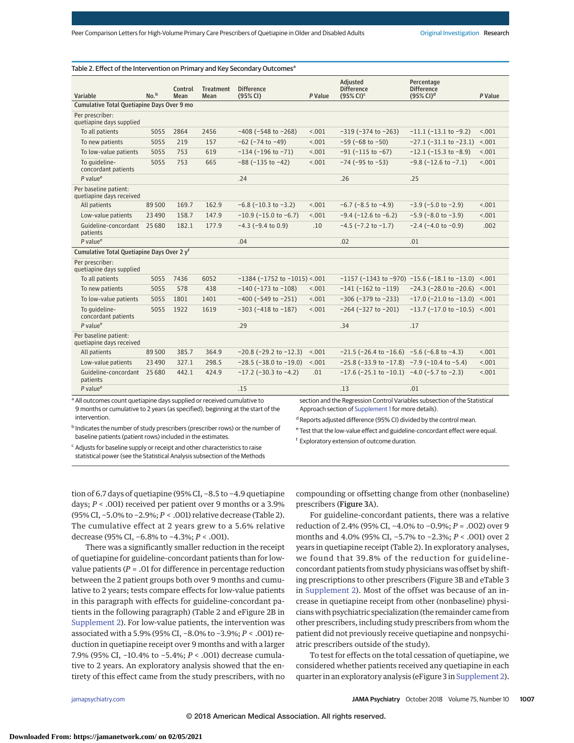| Variable                                               | No. <sup>b</sup> | Control<br><b>Mean</b> | <b>Treatment</b><br>Mean | <b>Difference</b><br>(95% CI)        | P Value | Adjusted<br><b>Difference</b><br>$(95\%$ CI) <sup>c</sup>   | Percentage<br><b>Difference</b><br>$(95\%$ CI) <sup>d</sup> | P Value |
|--------------------------------------------------------|------------------|------------------------|--------------------------|--------------------------------------|---------|-------------------------------------------------------------|-------------------------------------------------------------|---------|
| Cumulative Total Quetiapine Days Over 9 mo             |                  |                        |                          |                                      |         |                                                             |                                                             |         |
| Per prescriber:<br>quetiapine days supplied            |                  |                        |                          |                                      |         |                                                             |                                                             |         |
| To all patients                                        | 5055             | 2864                   | 2456                     | $-408$ ( $-548$ to $-268$ )          | < .001  | $-319$ ( $-374$ to $-263$ )                                 | $-11.1$ ( $-13.1$ to $-9.2$ )                               | < .001  |
| To new patients                                        | 5055             | 219                    | 157                      | $-62$ ( $-74$ to $-49$ )             | < .001  | $-59$ ( $-68$ to $-50$ )                                    | $-27.1$ ( $-31.1$ to $-23.1$ )                              | < 0.01  |
| To low-value patients                                  | 5055             | 753                    | 619                      | $-134$ ( $-196$ to $-71$ )           | < .001  | $-91$ ( $-115$ to $-67$ )                                   | $-12.1$ ( $-15.3$ to $-8.9$ )                               | 15001   |
| To quideline-<br>concordant patients                   | 5055             | 753                    | 665                      | $-88$ ( $-135$ to $-42$ )            | 1001    | $-74$ ( $-95$ to $-53$ )                                    | $-9.8$ ( $-12.6$ to $-7.1$ )                                | 1001    |
| $P$ value <sup>e</sup>                                 |                  |                        |                          | .24                                  |         | .26                                                         | .25                                                         |         |
| Per baseline patient:<br>quetiapine days received      |                  |                        |                          |                                      |         |                                                             |                                                             |         |
| All patients                                           | 89500            | 169.7                  | 162.9                    | $-6.8$ ( $-10.3$ to $-3.2$ )         | < .001  | $-6.7$ ( $-8.5$ to $-4.9$ )                                 | $-3.9$ ( $-5.0$ to $-2.9$ )                                 | < .001  |
| Low-value patients                                     | 23 4 9 0         | 158.7                  | 147.9                    | $-10.9$ ( $-15.0$ to $-6.7$ )        | < .001  | $-9.4$ ( $-12.6$ to $-6.2$ )                                | $-5.9$ ( $-8.0$ to $-3.9$ )                                 | < .001  |
| Guideline-concordant 25 680<br>patients                |                  | 182.1                  | 177.9                    | $-4.3$ ( $-9.4$ to 0.9)              | .10     | $-4.5$ ( $-7.2$ to $-1.7$ )                                 | $-2.4$ ( $-4.0$ to $-0.9$ )                                 | .002    |
| $P$ value <sup>e</sup>                                 |                  |                        |                          | .04                                  |         | .02                                                         | .01                                                         |         |
| Cumulative Total Quetiapine Days Over 2 y <sup>f</sup> |                  |                        |                          |                                      |         |                                                             |                                                             |         |
| Per prescriber:<br>quetiapine days supplied            |                  |                        |                          |                                      |         |                                                             |                                                             |         |
| To all patients                                        | 5055             | 7436                   | 6052                     | $-1384$ ( $-1752$ to $-1015$ ) <.001 |         |                                                             | $-1157$ (-1343 to -970) -15.6 (-18.1 to -13.0) <.001        |         |
| To new patients                                        | 5055             | 578                    | 438                      | $-140$ ( $-173$ to $-108$ )          | 15.001  | $-141$ ( $-162$ to $-119$ )                                 | $-24.3$ ( $-28.0$ to $-20.6$ ) <.001                        |         |
| To low-value patients                                  | 5055             | 1801                   | 1401                     | $-400$ ( $-549$ to $-251$ )          | < .001  | $-306$ ( $-379$ to $-233$ )                                 | $-17.0$ ( $-21.0$ to $-13.0$ ) <.001                        |         |
| To quideline-<br>concordant patients                   | 5055             | 1922                   | 1619                     | $-303$ ( $-418$ to $-187$ )          | < .001  | $-264$ ( $-327$ to $-201$ )                                 | $-13.7$ ( $-17.0$ to $-10.5$ ) <.001                        |         |
| $P$ value <sup>e</sup>                                 |                  |                        |                          | .29                                  |         | .34                                                         | .17                                                         |         |
| Per baseline patient:<br>quetiapine days received      |                  |                        |                          |                                      |         |                                                             |                                                             |         |
| All patients                                           | 89500            | 385.7                  | 364.9                    | $-20.8$ ( $-29.2$ to $-12.3$ )       | < .001  | $-21.5$ ( $-26.4$ to $-16.6$ ) $-5.6$ ( $-6.8$ to $-4.3$ )  |                                                             | < 0.01  |
| Low-value patients                                     | 23 4 9 0         | 327.1                  | 298.5                    | $-28.5$ ( $-38.0$ to $-19.0$ )       | < .001  | $-25.8$ ( $-33.9$ to $-17.8$ ) $-7.9$ ( $-10.4$ to $-5.4$ ) |                                                             | < .001  |
| Guideline-concordant 25 680<br>patients                |                  | 442.1                  | 424.9                    | $-17.2$ ( $-30.3$ to $-4.2$ )        | .01     | $-17.6$ ( $-25.1$ to $-10.1$ ) $-4.0$ ( $-5.7$ to $-2.3$ )  |                                                             | < .001  |
| $P$ value <sup>e</sup>                                 |                  |                        |                          | .15                                  |         | .13                                                         | .01                                                         |         |

9 months or cumulative to 2 years (as specified), beginning at the start of the intervention.

Approach section of [Supplement 1](https://jama.jamanetwork.com/article.aspx?doi=10.1001/jamapsychiatry.2018.1867&utm_campaign=articlePDF%26utm_medium=articlePDFlink%26utm_source=articlePDF%26utm_content=jamapsychiatry.2018.1867) for more details).

<sup>b</sup> Indicates the number of study prescribers (prescriber rows) or the number of baseline patients (patient rows) included in the estimates.

<sup>d</sup> Reports adjusted difference (95% CI) divided by the control mean.

<sup>e</sup> Test that the low-value effect and guideline-concordant effect were equal. <sup>f</sup> Exploratory extension of outcome duration.

<sup>c</sup> Adjusts for baseline supply or receipt and other characteristics to raise statistical power (see the Statistical Analysis subsection of the Methods

tion of 6.7 days of quetiapine (95% CI, −8.5 to −4.9 quetiapine days; *P* < .001) received per patient over 9 months or a 3.9% (95% CI, −5.0% to −2.9%; *P* < .001) relative decrease (Table 2). The cumulative effect at 2 years grew to a 5.6% relative decrease (95% CI, −6.8% to −4.3%; *P* < .001).

There was a significantly smaller reduction in the receipt of quetiapine for guideline-concordant patients than for lowvalue patients  $(P = .01$  for difference in percentage reduction between the 2 patient groups both over 9 months and cumulative to 2 years; tests compare effects for low-value patients in this paragraph with effects for guideline-concordant patients in the following paragraph) (Table 2 and eFigure 2B in [Supplement 2\)](https://jama.jamanetwork.com/article.aspx?doi=10.1001/jamapsychiatry.2018.1867&utm_campaign=articlePDF%26utm_medium=articlePDFlink%26utm_source=articlePDF%26utm_content=jamapsychiatry.2018.1867). For low-value patients, the intervention was associated with a 5.9% (95% CI, −8.0% to −3.9%; *P* < .001) reduction in quetiapine receipt over 9 months and with a larger 7.9% (95% CI, −10.4% to −5.4%; *P* < .001) decrease cumulative to 2 years. An exploratory analysis showed that the entirety of this effect came from the study prescribers, with no

compounding or offsetting change from other (nonbaseline) prescribers (Figure 3A).

For guideline-concordant patients, there was a relative reduction of 2.4% (95% CI, −4.0% to −0.9%; *P* = .002) over 9 months and 4.0% (95% CI, −5.7% to −2.3%; *P* < .001) over 2 years in quetiapine receipt (Table 2). In exploratory analyses, we found that 39.8% of the reduction for guidelineconcordant patients from study physicians was offset by shifting prescriptions to other prescribers (Figure 3B and eTable 3 in [Supplement 2\)](https://jama.jamanetwork.com/article.aspx?doi=10.1001/jamapsychiatry.2018.1867&utm_campaign=articlePDF%26utm_medium=articlePDFlink%26utm_source=articlePDF%26utm_content=jamapsychiatry.2018.1867). Most of the offset was because of an increase in quetiapine receipt from other (nonbaseline) physicians with psychiatric specialization (the remainder came from other prescribers, including study prescribers from whom the patient did not previously receive quetiapine and nonpsychiatric prescribers outside of the study).

To test for effects on the total cessation of quetiapine, we considered whether patients received any quetiapine in each quarter in an exploratory analysis (eFigure 3 in [Supplement 2\)](https://jama.jamanetwork.com/article.aspx?doi=10.1001/jamapsychiatry.2018.1867&utm_campaign=articlePDF%26utm_medium=articlePDFlink%26utm_source=articlePDF%26utm_content=jamapsychiatry.2018.1867).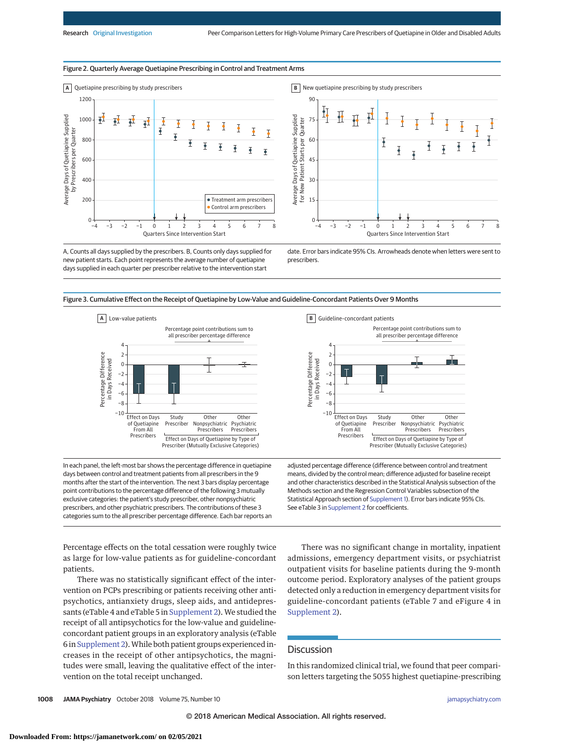## Figure 2. Quarterly Average Quetiapine Prescribing in Control and Treatment Arms





A, Counts all days supplied by the prescribers. B, Counts only days supplied for new patient starts. Each point represents the average number of quetiapine days supplied in each quarter per prescriber relative to the intervention start

date. Error bars indicate 95% CIs. Arrowheads denote when letters were sent to prescribers.





In each panel, the left-most bar shows the percentage difference in quetiapine days between control and treatment patients from all prescribers in the 9 months after the start of the intervention. The next 3 bars display percentage point contributions to the percentage difference of the following 3 mutually exclusive categories: the patient's study prescriber, other nonpsychiatric prescribers, and other psychiatric prescribers. The contributions of these 3 categories sum to the all prescriber percentage difference. Each bar reports an



adjusted percentage difference (difference between control and treatment means, divided by the control mean; difference adjusted for baseline receipt and other characteristics described in the Statistical Analysis subsection of the Methods section and the Regression Control Variables subsection of the Statistical Approach section of [Supplement 1\)](https://jama.jamanetwork.com/article.aspx?doi=10.1001/jamapsychiatry.2018.1867&utm_campaign=articlePDF%26utm_medium=articlePDFlink%26utm_source=articlePDF%26utm_content=jamapsychiatry.2018.1867). Error bars indicate 95% CIs. See eTable 3 in [Supplement 2](https://jama.jamanetwork.com/article.aspx?doi=10.1001/jamapsychiatry.2018.1867&utm_campaign=articlePDF%26utm_medium=articlePDFlink%26utm_source=articlePDF%26utm_content=jamapsychiatry.2018.1867) for coefficients.

Percentage effects on the total cessation were roughly twice as large for low-value patients as for guideline-concordant patients.

There was no statistically significant effect of the intervention on PCPs prescribing or patients receiving other antipsychotics, antianxiety drugs, sleep aids, and antidepressants (eTable 4 and eTable 5 in [Supplement 2\)](https://jama.jamanetwork.com/article.aspx?doi=10.1001/jamapsychiatry.2018.1867&utm_campaign=articlePDF%26utm_medium=articlePDFlink%26utm_source=articlePDF%26utm_content=jamapsychiatry.2018.1867). We studied the receipt of all antipsychotics for the low-value and guidelineconcordant patient groups in an exploratory analysis (eTable 6 in [Supplement 2\)](https://jama.jamanetwork.com/article.aspx?doi=10.1001/jamapsychiatry.2018.1867&utm_campaign=articlePDF%26utm_medium=articlePDFlink%26utm_source=articlePDF%26utm_content=jamapsychiatry.2018.1867).While both patient groups experienced increases in the receipt of other antipsychotics, the magnitudes were small, leaving the qualitative effect of the intervention on the total receipt unchanged.

There was no significant change in mortality, inpatient admissions, emergency department visits, or psychiatrist outpatient visits for baseline patients during the 9-month outcome period. Exploratory analyses of the patient groups detected only a reduction in emergency department visits for guideline-concordant patients (eTable 7 and eFigure 4 in [Supplement 2\)](https://jama.jamanetwork.com/article.aspx?doi=10.1001/jamapsychiatry.2018.1867&utm_campaign=articlePDF%26utm_medium=articlePDFlink%26utm_source=articlePDF%26utm_content=jamapsychiatry.2018.1867).

# **Discussion**

In this randomized clinical trial, we found that peer comparison letters targeting the 5055 highest quetiapine-prescribing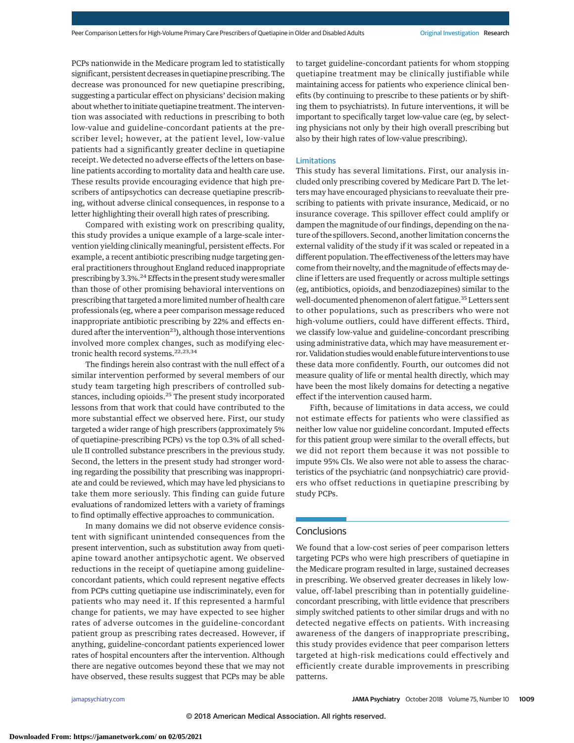PCPs nationwide in the Medicare program led to statistically significant, persistent decreases in quetiapine prescribing. The decrease was pronounced for new quetiapine prescribing, suggesting a particular effect on physicians' decision making about whether to initiate quetiapine treatment. The intervention was associated with reductions in prescribing to both low-value and guideline-concordant patients at the prescriber level; however, at the patient level, low-value patients had a significantly greater decline in quetiapine receipt. We detected no adverse effects of the letters on baseline patients according to mortality data and health care use. These results provide encouraging evidence that high prescribers of antipsychotics can decrease quetiapine prescribing, without adverse clinical consequences, in response to a letter highlighting their overall high rates of prescribing.

Compared with existing work on prescribing quality, this study provides a unique example of a large-scale intervention yielding clinically meaningful, persistent effects. For example, a recent antibiotic prescribing nudge targeting general practitioners throughout England reduced inappropriate prescribing by 3.3%.<sup>24</sup> Effects in the present study were smaller than those of other promising behavioral interventions on prescribing that targeted a more limited number of health care professionals (eg, where a peer comparison message reduced inappropriate antibiotic prescribing by 22% and effects endured after the intervention<sup>23</sup>), although those interventions involved more complex changes, such as modifying electronic health record systems.<sup>22,23,34</sup>

The findings herein also contrast with the null effect of a similar intervention performed by several members of our study team targeting high prescribers of controlled substances, including opioids.25 The present study incorporated lessons from that work that could have contributed to the more substantial effect we observed here. First, our study targeted a wider range of high prescribers (approximately 5% of quetiapine-prescribing PCPs) vs the top 0.3% of all schedule II controlled substance prescribers in the previous study. Second, the letters in the present study had stronger wording regarding the possibility that prescribing was inappropriate and could be reviewed, which may have led physicians to take them more seriously. This finding can guide future evaluations of randomized letters with a variety of framings to find optimally effective approaches to communication.

In many domains we did not observe evidence consistent with significant unintended consequences from the present intervention, such as substitution away from quetiapine toward another antipsychotic agent. We observed reductions in the receipt of quetiapine among guidelineconcordant patients, which could represent negative effects from PCPs cutting quetiapine use indiscriminately, even for patients who may need it. If this represented a harmful change for patients, we may have expected to see higher rates of adverse outcomes in the guideline-concordant patient group as prescribing rates decreased. However, if anything, guideline-concordant patients experienced lower rates of hospital encounters after the intervention. Although there are negative outcomes beyond these that we may not have observed, these results suggest that PCPs may be able

to target guideline-concordant patients for whom stopping quetiapine treatment may be clinically justifiable while maintaining access for patients who experience clinical benefits (by continuing to prescribe to these patients or by shifting them to psychiatrists). In future interventions, it will be important to specifically target low-value care (eg, by selecting physicians not only by their high overall prescribing but also by their high rates of low-value prescribing).

## Limitations

This study has several limitations. First, our analysis included only prescribing covered by Medicare Part D. The letters may have encouraged physicians to reevaluate their prescribing to patients with private insurance, Medicaid, or no insurance coverage. This spillover effect could amplify or dampen the magnitude of our findings, depending on the nature of the spillovers. Second, another limitation concerns the external validity of the study if it was scaled or repeated in a different population. The effectiveness of the letters may have come from their novelty, and the magnitude of effects may decline if letters are used frequently or across multiple settings (eg, antibiotics, opioids, and benzodiazepines) similar to the well-documented phenomenon of alert fatigue.<sup>35</sup> Letters sent to other populations, such as prescribers who were not high-volume outliers, could have different effects. Third, we classify low-value and guideline-concordant prescribing using administrative data, which may have measurement error. Validation studies would enable future interventions to use these data more confidently. Fourth, our outcomes did not measure quality of life or mental health directly, which may have been the most likely domains for detecting a negative effect if the intervention caused harm.

Fifth, because of limitations in data access, we could not estimate effects for patients who were classified as neither low value nor guideline concordant. Imputed effects for this patient group were similar to the overall effects, but we did not report them because it was not possible to impute 95% CIs. We also were not able to assess the characteristics of the psychiatric (and nonpsychiatric) care providers who offset reductions in quetiapine prescribing by study PCPs.

# **Conclusions**

We found that a low-cost series of peer comparison letters targeting PCPs who were high prescribers of quetiapine in the Medicare program resulted in large, sustained decreases in prescribing. We observed greater decreases in likely lowvalue, off-label prescribing than in potentially guidelineconcordant prescribing, with little evidence that prescribers simply switched patients to other similar drugs and with no detected negative effects on patients. With increasing awareness of the dangers of inappropriate prescribing, this study provides evidence that peer comparison letters targeted at high-risk medications could effectively and efficiently create durable improvements in prescribing patterns.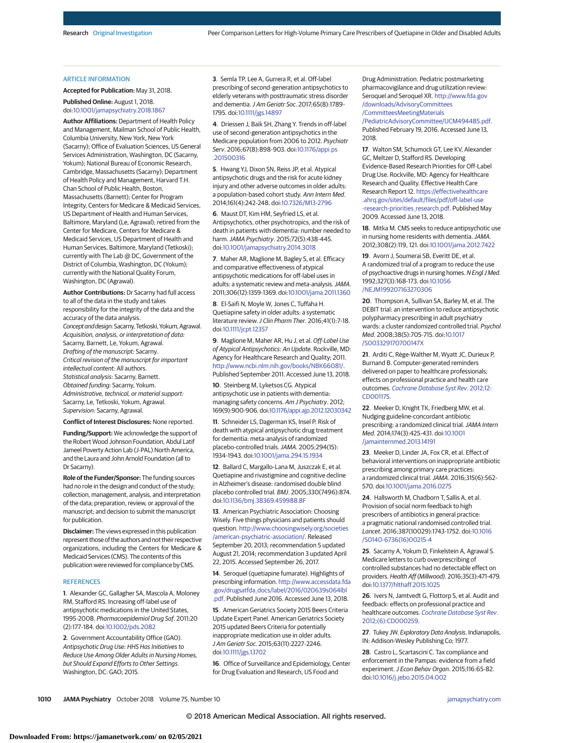## ARTICLE INFORMATION

**Accepted for Publication:** May 31, 2018.

**Published Online:** August 1, 2018. doi[:10.1001/jamapsychiatry.2018.1867](https://jama.jamanetwork.com/article.aspx?doi=10.1001/jamapsychiatry.2018.1867&utm_campaign=articlePDF%26utm_medium=articlePDFlink%26utm_source=articlePDF%26utm_content=jamapsychiatry.2018.1867)

**Author Affiliations:** Department of Health Policy and Management, Mailman School of Public Health, Columbia University, New York, New York (Sacarny); Office of Evaluation Sciences, US General Services Administration, Washington, DC (Sacarny, Yokum); National Bureau of Economic Research, Cambridge, Massachusetts (Sacarny); Department of Health Policy and Management, Harvard T.H. Chan School of Public Health, Boston, Massachusetts (Barnett); Center for Program Integrity, Centers for Medicare & Medicaid Services, US Department of Health and Human Services, Baltimore, Maryland (Le, Agrawal); retired from the Center for Medicare, Centers for Medicare & Medicaid Services, US Department of Health and Human Services, Baltimore, Maryland (Tetkoski); currently with The Lab @ DC, Government of the District of Columbia, Washington, DC (Yokum); currently with the National Quality Forum, Washington, DC (Agrawal).

**Author Contributions:** Dr Sacarny had full access to all of the data in the study and takes responsibility for the integrity of the data and the accuracy of the data analysis. Concept and design: Sacarny, Tetkoski, Yokum, Agrawal. Acquisition, analysis, or interpretation of data: Sacarny, Barnett, Le, Yokum, Agrawal. Drafting of the manuscript: Sacarny. Critical revision of the manuscript for important intellectual content: All authors. Statistical analysis: Sacarny, Barnett. Obtained funding: Sacarny, Yokum. Administrative, technical, or material support: Sacarny, Le, Tetkoski, Yokum, Agrawal. Supervision: Sacarny, Agrawal.

**Conflict of Interest Disclosures:** None reported.

**Funding/Support:** We acknowledge the support of the Robert Wood Johnson Foundation, Abdul Latif Jameel Poverty Action Lab (J-PAL) North America, and the Laura and John Arnold Foundation (all to Dr Sacarny).

**Role of the Funder/Sponsor:** The funding sources had no role in the design and conduct of the study; collection, management, analysis, and interpretation of the data; preparation, review, or approval of the manuscript; and decision to submit the manuscript for publication.

**Disclaimer:** The views expressed in this publication represent those of the authors and not their respective organizations, including the Centers for Medicare & Medicaid Services (CMS). The contents of this publication were reviewed for compliance by CMS.

### **REFERENCES**

**1**. Alexander GC, Gallagher SA, Mascola A, Moloney RM, Stafford RS. Increasing off-label use of antipsychotic medications in the United States, 1995-2008. Pharmacoepidemiol Drug Saf. 2011;20 (2):177-184. doi[:10.1002/pds.2082](https://dx.doi.org/10.1002/pds.2082)

**2**. Government Accountability Office (GAO). Antipsychotic Drug Use: HHS Has Initiatives to Reduce Use Among Older Adults in Nursing Homes, but Should Expand Efforts to Other Settings. Washington, DC: GAO; 2015.

**3**. Semla TP, Lee A, Gurrera R, et al. Off-label prescribing of second-generation antipsychotics to elderly veterans with posttraumatic stress disorder and dementia.J Am Geriatr Soc. 2017;65(8):1789- 1795. doi[:10.1111/jgs.14897](https://dx.doi.org/10.1111/jgs.14897)

**4**. Driessen J, Baik SH, Zhang Y. Trends in off-label use of second-generation antipsychotics in the Medicare population from 2006 to 2012. Psychiatr Serv. 2016;67(8):898-903. doi[:10.1176/appi.ps](https://dx.doi.org/10.1176/appi.ps.201500316) [.201500316](https://dx.doi.org/10.1176/appi.ps.201500316)

**5**. Hwang YJ, Dixon SN, Reiss JP, et al. Atypical antipsychotic drugs and the risk for acute kidney injury and other adverse outcomes in older adults: a population-based cohort study. Ann Intern Med. 2014;161(4):242-248. doi[:10.7326/M13-2796](https://dx.doi.org/10.7326/M13-2796)

**6**. Maust DT, Kim HM, Seyfried LS, et al. Antipsychotics, other psychotropics, and the risk of death in patients with dementia: number needed to harm.JAMA Psychiatry. 2015;72(5):438-445. doi[:10.1001/jamapsychiatry.2014.3018](https://jama.jamanetwork.com/article.aspx?doi=10.1001/jamapsychiatry.2014.3018&utm_campaign=articlePDF%26utm_medium=articlePDFlink%26utm_source=articlePDF%26utm_content=jamapsychiatry.2018.1867)

**7**. Maher AR, Maglione M, Bagley S, et al. Efficacy and comparative effectiveness of atypical antipsychotic medications for off-label uses in adults: a systematic review and meta-analysis.JAMA. 2011;306(12):1359-1369. doi[:10.1001/jama.2011.1360](https://jama.jamanetwork.com/article.aspx?doi=10.1001/jama.2011.1360&utm_campaign=articlePDF%26utm_medium=articlePDFlink%26utm_source=articlePDF%26utm_content=jamapsychiatry.2018.1867)

**8**. El-Saifi N, Moyle W, Jones C, Tuffaha H. Quetiapine safety in older adults: a systematic literature review. J Clin Pharm Ther. 2016;41(1):7-18. doi[:10.1111/jcpt.12357](https://dx.doi.org/10.1111/jcpt.12357)

**9**. Maglione M, Maher AR, Hu J, et al. Off-Label Use of Atypical Antipsychotics: An Update. Rockville, MD: Agency for Healthcare Research and Quality; 2011. [http://www.ncbi.nlm.nih.gov/books/NBK66081/.](http://www.ncbi.nlm.nih.gov/books/NBK66081/) Published September 2011. Accessed June 13, 2018.

**10**. Steinberg M, Lyketsos CG. Atypical antipsychotic use in patients with dementia: managing safety concerns. Am J Psychiatry. 2012; 169(9):900-906. doi[:10.1176/appi.ajp.2012.12030342](https://dx.doi.org/10.1176/appi.ajp.2012.12030342)

**11**. Schneider LS, Dagerman KS, Insel P. Risk of death with atypical antipsychotic drug treatment for dementia: meta-analysis of randomized placebo-controlled trials.JAMA. 2005;294(15): 1934-1943. doi[:10.1001/jama.294.15.1934](https://jama.jamanetwork.com/article.aspx?doi=10.1001/jama.294.15.1934&utm_campaign=articlePDF%26utm_medium=articlePDFlink%26utm_source=articlePDF%26utm_content=jamapsychiatry.2018.1867)

**12**. Ballard C, Margallo-Lana M, Juszczak E, et al. Quetiapine and rivastigmine and cognitive decline in Alzheimer's disease: randomised double blind placebo controlled trial. BMJ. 2005;330(7496):874. doi[:10.1136/bmj.38369.459988.8F](https://dx.doi.org/10.1136/bmj.38369.459988.8F)

**13**. American Psychiatric Association: Choosing Wisely. Five things physicians and patients should question. [http://www.choosingwisely.org/societies](http://www.choosingwisely.org/societies/american-psychiatric-association/) [/american-psychiatric-association/.](http://www.choosingwisely.org/societies/american-psychiatric-association/) Released September 20, 2013; recommendation 5 updated August 21, 2014; recommendation 3 updated April 22, 2015. Accessed September 26, 2017.

**14**. Seroquel (quetiapine fumarate). Highlights of prescribing information. [http://www.accessdata.fda](http://www.accessdata.fda.gov/drugsatfda_docs/label/2016/020639s064lbl.pdf) [.gov/drugsatfda\\_docs/label/2016/020639s064lbl](http://www.accessdata.fda.gov/drugsatfda_docs/label/2016/020639s064lbl.pdf) [.pdf.](http://www.accessdata.fda.gov/drugsatfda_docs/label/2016/020639s064lbl.pdf) Published June 2016. Accessed June 13, 2018.

**15**. American Geriatrics Society 2015 Beers Criteria Update Expert Panel. American Geriatrics Society 2015 updated Beers Criteria for potentially inappropriate medication use in older adults. J Am Geriatr Soc. 2015;63(11):2227-2246. doi[:10.1111/jgs.13702](https://dx.doi.org/10.1111/jgs.13702)

**16**. Office of Surveillance and Epidemiology, Center for Drug Evaluation and Research, US Food and

Drug Administration. Pediatric postmarketing pharmacovigilance and drug utilization review: Seroquel and Seroquel XR. [http://www.fda.gov](http://www.fda.gov/downloads/AdvisoryCommittees/CommitteesMeetingMaterials/PediatricAdvisoryCommittee/UCM494485.pdf) [/downloads/AdvisoryCommittees](http://www.fda.gov/downloads/AdvisoryCommittees/CommitteesMeetingMaterials/PediatricAdvisoryCommittee/UCM494485.pdf) [/CommitteesMeetingMaterials](http://www.fda.gov/downloads/AdvisoryCommittees/CommitteesMeetingMaterials/PediatricAdvisoryCommittee/UCM494485.pdf)

[/PediatricAdvisoryCommittee/UCM494485.pdf.](http://www.fda.gov/downloads/AdvisoryCommittees/CommitteesMeetingMaterials/PediatricAdvisoryCommittee/UCM494485.pdf) Published February 19, 2016. Accessed June 13, 2018.

**17**. Walton SM, Schumock GT, Lee KV, Alexander GC, Meltzer D, Stafford RS. Developing Evidence-Based Research Priorities for Off-Label Drug Use. Rockville, MD: Agency for Healthcare Research and Quality. Effective Health Care Research Report 12. [https://effectivehealthcare](https://effectivehealthcare.ahrq.gov/sites/default/files/pdf/off-label-use-research-priorities_research.pdf) [.ahrq.gov/sites/default/files/pdf/off-label-use](https://effectivehealthcare.ahrq.gov/sites/default/files/pdf/off-label-use-research-priorities_research.pdf) [-research-priorities\\_research.pdf.](https://effectivehealthcare.ahrq.gov/sites/default/files/pdf/off-label-use-research-priorities_research.pdf) Published May 2009. Accessed June 13, 2018.

**18**. Mitka M. CMS seeks to reduce antipsychotic use in nursing home residents with dementia.JAMA. 2012;308(2):119, 121. doi[:10.1001/jama.2012.7422](https://jama.jamanetwork.com/article.aspx?doi=10.1001/jama.2012.7422&utm_campaign=articlePDF%26utm_medium=articlePDFlink%26utm_source=articlePDF%26utm_content=jamapsychiatry.2018.1867)

**19**. Avorn J, Soumerai SB, Everitt DE, et al. A randomized trial of a program to reduce the use of psychoactive drugs in nursing homes. N Engl J Med. 1992;327(3):168-173. doi[:10.1056](https://dx.doi.org/10.1056/NEJM199207163270306) [/NEJM199207163270306](https://dx.doi.org/10.1056/NEJM199207163270306)

**20**. Thompson A, Sullivan SA, Barley M, et al. The DEBIT trial: an intervention to reduce antipsychotic polypharmacy prescribing in adult psychiatry wards: a cluster randomized controlled trial. Psychol Med. 2008;38(5):705-715. doi[:10.1017](https://dx.doi.org/10.1017/S003329170700147X) [/S003329170700147X](https://dx.doi.org/10.1017/S003329170700147X)

**21**. Arditi C, Rège-Walther M, Wyatt JC, Durieux P, Burnand B. Computer-generated reminders delivered on paper to healthcare professionals; effects on professional practice and health care outcomes. [Cochrane Database Syst Rev](https://www.ncbi.nlm.nih.gov/pubmed/23235578). 2012;12: [CD001175.](https://www.ncbi.nlm.nih.gov/pubmed/23235578)

**22**. Meeker D, Knight TK, Friedberg MW, et al. Nudging guideline-concordant antibiotic prescribing: a randomized clinical trial.JAMA Intern Med. 2014;174(3):425-431. doi[:10.1001](https://jama.jamanetwork.com/article.aspx?doi=10.1001/jamainternmed.2013.14191&utm_campaign=articlePDF%26utm_medium=articlePDFlink%26utm_source=articlePDF%26utm_content=jamapsychiatry.2018.1867) [/jamainternmed.2013.14191](https://jama.jamanetwork.com/article.aspx?doi=10.1001/jamainternmed.2013.14191&utm_campaign=articlePDF%26utm_medium=articlePDFlink%26utm_source=articlePDF%26utm_content=jamapsychiatry.2018.1867)

**23**. Meeker D, Linder JA, Fox CR, et al. Effect of behavioral interventions on inappropriate antibiotic prescribing among primary care practices: a randomized clinical trial.JAMA. 2016;315(6):562- 570. doi[:10.1001/jama.2016.0275](https://jama.jamanetwork.com/article.aspx?doi=10.1001/jama.2016.0275&utm_campaign=articlePDF%26utm_medium=articlePDFlink%26utm_source=articlePDF%26utm_content=jamapsychiatry.2018.1867)

**24**. Hallsworth M, Chadborn T, Sallis A, et al. Provision of social norm feedback to high prescribers of antibiotics in general practice: a pragmatic national randomised controlled trial. Lancet. 2016;387(10029):1743-1752. doi[:10.1016](https://dx.doi.org/10.1016/S0140-6736(16)00215-4) [/S0140-6736\(16\)00215-4](https://dx.doi.org/10.1016/S0140-6736(16)00215-4)

**25**. Sacarny A, Yokum D, Finkelstein A, Agrawal S. Medicare letters to curb overprescribing of controlled substances had no detectable effect on providers. Health Aff (Millwood). 2016;35(3):471-479. doi[:10.1377/hlthaff.2015.1025](https://dx.doi.org/10.1377/hlthaff.2015.1025)

**26**. Ivers N, Jamtvedt G, Flottorp S, et al. Audit and feedback: effects on professional practice and healthcare outcomes. [Cochrane Database Syst Rev](https://www.ncbi.nlm.nih.gov/pubmed/22696318). [2012;\(6\):CD000259.](https://www.ncbi.nlm.nih.gov/pubmed/22696318)

**27**. Tukey JW. Exploratory Data Analysis. Indianapolis, IN: Addison-Wesley Publishing Co; 1977.

**28**. Castro L, Scartascini C. Tax compliance and enforcement in the Pampas: evidence from a field experiment. J Econ Behav Organ. 2015;116:65-82. doi[:10.1016/j.jebo.2015.04.002](https://dx.doi.org/10.1016/j.jebo.2015.04.002)

**1010 JAMA Psychiatry** October 2018 Volume 75, Number 10 **(Reprinted)** [jamapsychiatry.com](http://www.jamapsychiatry.com/?utm_campaign=articlePDF%26utm_medium=articlePDFlink%26utm_source=articlePDF%26utm_content=jamapsychiatry.2018.1867)